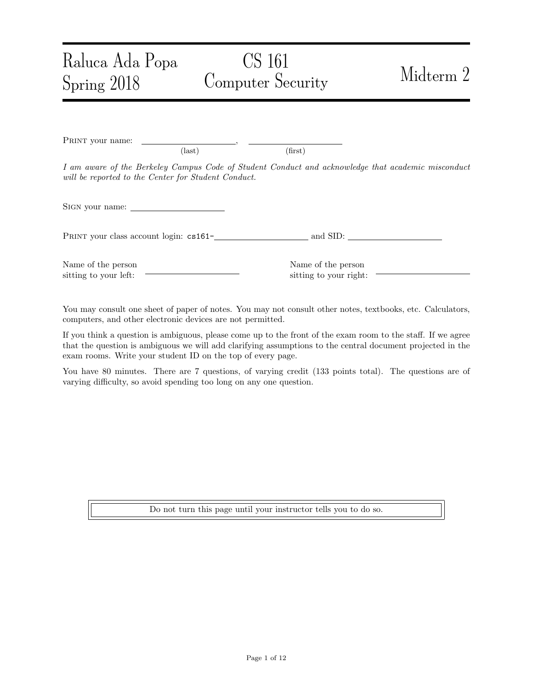# CS 161 Computer Security Midterm 2

PRINT your name:  $\text{(last)}\tag{first}$ I am aware of the Berkeley Campus Code of Student Conduct and acknowledge that academic misconduct will be reported to the Center for Student Conduct. Sign your name: PRINT your class account login:  $cs161$ - and SID:

Name of the person sitting to your left:

Raluca Ada Popa

Spring 2018

Name of the person sitting to your right:

You may consult one sheet of paper of notes. You may not consult other notes, textbooks, etc. Calculators, computers, and other electronic devices are not permitted.

If you think a question is ambiguous, please come up to the front of the exam room to the staff. If we agree that the question is ambiguous we will add clarifying assumptions to the central document projected in the exam rooms. Write your student ID on the top of every page.

You have 80 minutes. There are 7 questions, of varying credit (133 points total). The questions are of varying difficulty, so avoid spending too long on any one question.

Do not turn this page until your instructor tells you to do so.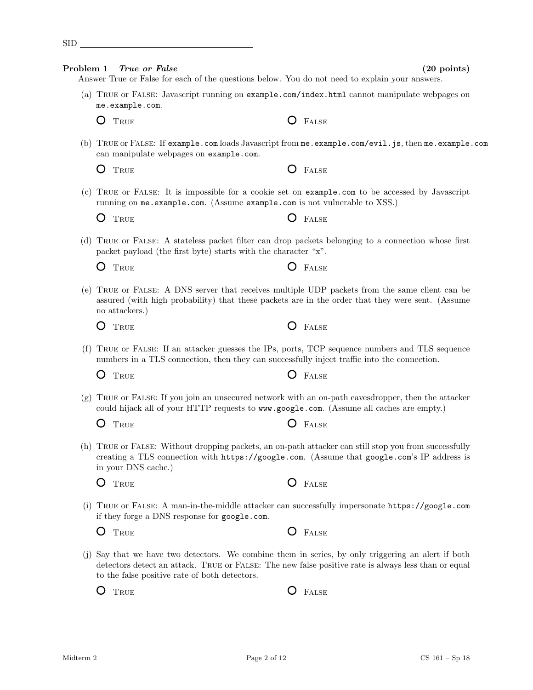| Problem 1 | <i>True or False</i><br>Answer True or False for each of the questions below. You do not need to explain your answers.                                                                                                                                     | $(20 \text{ points})$                                                                               |
|-----------|------------------------------------------------------------------------------------------------------------------------------------------------------------------------------------------------------------------------------------------------------------|-----------------------------------------------------------------------------------------------------|
|           | (a) TRUE or FALSE: Javascript running on example.com/index.html cannot manipulate webpages on<br>me.example.com.                                                                                                                                           |                                                                                                     |
|           | Ő<br>TRUE                                                                                                                                                                                                                                                  | FALSE                                                                                               |
|           | can manipulate webpages on example.com.                                                                                                                                                                                                                    | (b) TRUE or FALSE: If example.com loads Javascript from me.example.com/evil.js, then me.example.com |
|           | TRUE<br>Ő                                                                                                                                                                                                                                                  | FALSE<br>O                                                                                          |
| (c)       | TRUE or FALSE: It is impossible for a cookie set on example.com to be accessed by Javascript<br>running on me.example.com. (Assume example.com is not vulnerable to XSS.)                                                                                  |                                                                                                     |
|           | O<br>TRUE                                                                                                                                                                                                                                                  | FALSE                                                                                               |
|           | (d) TRUE or FALSE: A stateless packet filter can drop packets belonging to a connection whose first<br>packet payload (the first byte) starts with the character "x".                                                                                      |                                                                                                     |
|           | Ő<br>TRUE                                                                                                                                                                                                                                                  | FALSE                                                                                               |
|           | (e) TRUE or FALSE: A DNS server that receives multiple UDP packets from the same client can be<br>assured (with high probability) that these packets are in the order that they were sent. (Assume<br>no attackers.)                                       |                                                                                                     |
|           | TRUE<br>Ő                                                                                                                                                                                                                                                  | FALSE                                                                                               |
| (f)       | TRUE or FALSE: If an attacker guesses the IPs, ports, TCP sequence numbers and TLS sequence<br>numbers in a TLS connection, then they can successfully inject traffic into the connection.                                                                 |                                                                                                     |
|           | O<br>TRUE                                                                                                                                                                                                                                                  | FALSE                                                                                               |
| (g)       | TRUE or FALSE: If you join an unsecured network with an on-path eavesdropper, then the attacker<br>could hijack all of your HTTP requests to www.google.com. (Assume all caches are empty.)                                                                |                                                                                                     |
|           | Ő<br>TRUE                                                                                                                                                                                                                                                  | FALSE                                                                                               |
|           | (h) TRUE or FALSE: Without dropping packets, an on-path attacker can still stop you from successfully<br>creating a TLS connection with https://google.com. (Assume that google.com's IP address is<br>in your DNS cache.)                                 |                                                                                                     |
|           | TRUE<br>( )                                                                                                                                                                                                                                                | FALSE<br>$\lambda$                                                                                  |
| (1)       | TRUE or FALSE: A man-in-the-middle attacker can successfully impersonate https://google.com<br>if they forge a DNS response for google.com.                                                                                                                |                                                                                                     |
|           | Ő<br>TRUE                                                                                                                                                                                                                                                  | Ő<br>FALSE                                                                                          |
|           | (j) Say that we have two detectors. We combine them in series, by only triggering an alert if both<br>detectors detect an attack. TRUE or FALSE: The new false positive rate is always less than or equal<br>to the false positive rate of both detectors. |                                                                                                     |
|           | Ő<br>TRUE                                                                                                                                                                                                                                                  | FALSE                                                                                               |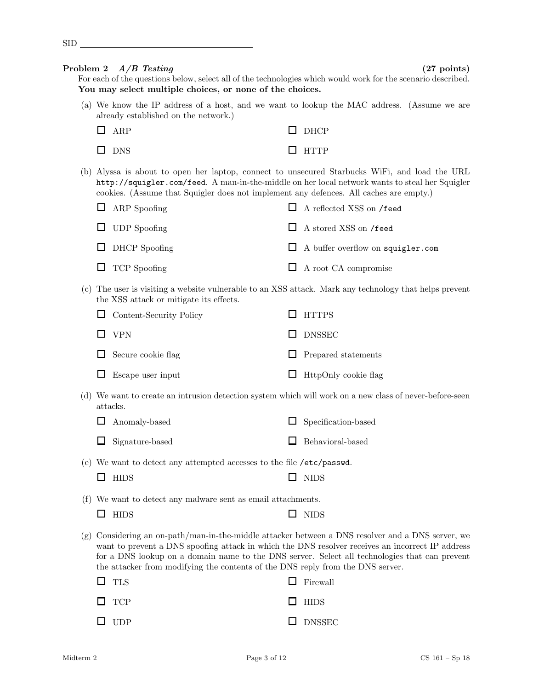$\Box$ 

| <b>SID</b> |  |  |  |
|------------|--|--|--|
|            |  |  |  |
|            |  |  |  |

For each of the questions below, select all of the technologies which would work for the scenario described. You may select multiple choices, or none of the choices.

(a) We know the IP address of a host, and we want to lookup the MAC address. (Assume we are already established on the network.)

| $\Box$ ARP | $\Box$ DHCP |
|------------|-------------|
| $\Box$ DNS | $\Box$ HTTP |

(b) Alyssa is about to open her laptop, connect to unsecured Starbucks WiFi, and load the URL http://squigler.com/feed. A man-in-the-middle on her local network wants to steal her Squigler cookies. (Assume that Squigler does not implement any defences. All caches are empty.)

| $\Box$ ARP Spoofing  | $\Box$ A reflected XSS on /feed          |
|----------------------|------------------------------------------|
| $\Box$ UDP Spoofing  | $\Box$ A stored XSS on /feed             |
| $\Box$ DHCP Spoofing | $\Box$ A buffer overflow on squigler.com |
| $\Box$ TCP Spoofing  | $\Box$ A root CA compromise              |

(c) The user is visiting a website vulnerable to an XSS attack. Mark any technology that helps prevent the XSS attack or mitigate its effects.

| $\Box$ Content-Security Policy | $\Box$ HTTPS                |
|--------------------------------|-----------------------------|
| $\Box$ VPN                     | $\Box$ DNSSEC               |
| $\Box$ Secure cookie flag      | $\Box$ Prepared statements  |
| $\Box$ Escape user input       | $\Box$ HttpOnly cookie flag |

(d) We want to create an intrusion detection system which will work on a new class of never-before-seen attacks.

| $\Box$ Anomaly-based   | $\Box$ Specification-based |
|------------------------|----------------------------|
| $\Box$ Signature-based | $\Box$ Behavioral-based    |

(e) We want to detect any attempted accesses to the file /etc/passwd.

| $\Box$ HIDS<br>$\Box$ NIDS |  |
|----------------------------|--|
|----------------------------|--|

(f) We want to detect any malware sent as email attachments.

| <b>HIDS</b> |  | $\Box$ NIDS |
|-------------|--|-------------|
|-------------|--|-------------|

(g) Considering an on-path/man-in-the-middle attacker between a DNS resolver and a DNS server, we want to prevent a DNS spoofing attack in which the DNS resolver receives an incorrect IP address for a DNS lookup on a domain name to the DNS server. Select all technologies that can prevent the attacker from modifying the contents of the DNS reply from the DNS server.

| $\Box$ TLS | $\Box$ Firewall |
|------------|-----------------|
| $\Box$ TCP | $\Box$ HIDS     |
| $\Box$ UDP | $\Box$ DNSSEC   |

Problem 2  $A/B$  Testing (27 points)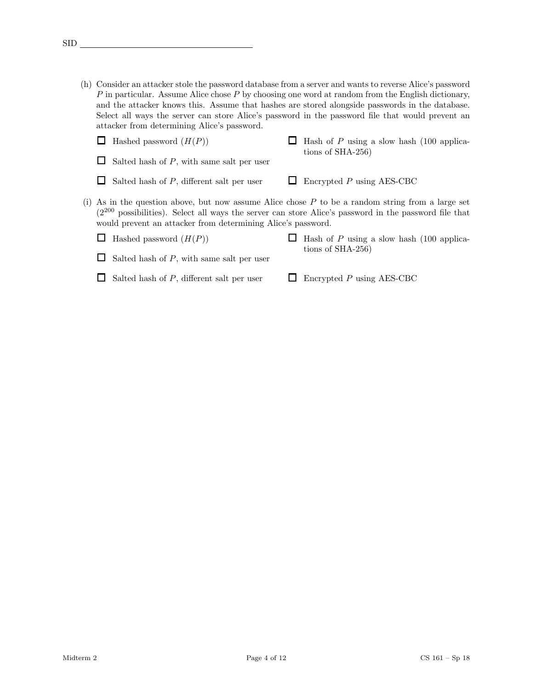(h) Consider an attacker stole the password database from a server and wants to reverse Alice's password P in particular. Assume Alice chose P by choosing one word at random from the English dictionary, and the attacker knows this. Assume that hashes are stored alongside passwords in the database. Select all ways the server can store Alice's password in the password file that would prevent an attacker from determining Alice's password.

| Hashed password $(H(P))$                                                                                                                                                                                                                                                          | Hash of $P$ using a slow hash $(100 \text{ applica-}$<br>tions of $SHA-256$ ) |
|-----------------------------------------------------------------------------------------------------------------------------------------------------------------------------------------------------------------------------------------------------------------------------------|-------------------------------------------------------------------------------|
| Salted hash of $P$ , with same salt per user                                                                                                                                                                                                                                      |                                                                               |
| Salted hash of $P$ , different salt per user                                                                                                                                                                                                                                      | Encrypted $P$ using AES-CBC                                                   |
| (i) As in the question above, but now assume Alice chose $P$ to be a random string from a large set<br>$(2^{200}$ possibilities). Select all ways the server can store Alice's password in the password file that<br>would prevent an attacker from determining Alice's password. |                                                                               |
| Hashed password $(H(P))$                                                                                                                                                                                                                                                          | Hash of $P$ using a slow hash (100 applica-                                   |
| Salted hash of $P$ , with same salt per user                                                                                                                                                                                                                                      | tions of $SHA-256$ )                                                          |
| Salted hash of $P$ , different salt per user                                                                                                                                                                                                                                      | Encrypted $P$ using AES-CBC                                                   |

 $\text{SID}$ <sub> $\_\_\$ </sub>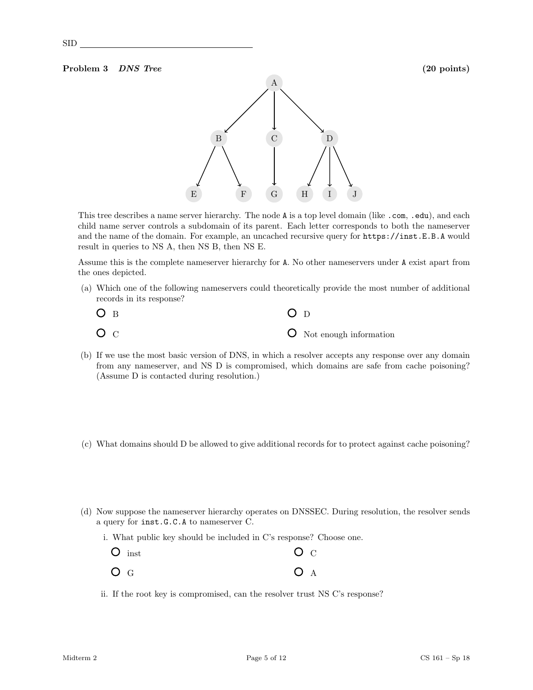### Problem 3 DNS Tree (20 points)



This tree describes a name server hierarchy. The node A is a top level domain (like .com, .edu), and each child name server controls a subdomain of its parent. Each letter corresponds to both the nameserver and the name of the domain. For example, an uncached recursive query for https://inst.E.B.A would result in queries to NS A, then NS B, then NS E.

Assume this is the complete nameserver hierarchy for A. No other nameservers under A exist apart from the ones depicted.

(a) Which one of the following nameservers could theoretically provide the most number of additional records in its response?

| O <sub>B</sub> | O <sub>D</sub>                  |
|----------------|---------------------------------|
| O <sub>C</sub> | <b>O</b> Not enough information |

- (b) If we use the most basic version of DNS, in which a resolver accepts any response over any domain from any nameserver, and NS D is compromised, which domains are safe from cache poisoning? (Assume D is contacted during resolution.)
- (c) What domains should D be allowed to give additional records for to protect against cache poisoning?
- (d) Now suppose the nameserver hierarchy operates on DNSSEC. During resolution, the resolver sends a query for inst.G.C.A to nameserver C.
	- i. What public key should be included in C's response? Choose one.

| $O$ inst | O <sub>C</sub> |
|----------|----------------|
| $O_G$    | O <sub>A</sub> |

ii. If the root key is compromised, can the resolver trust NS C's response?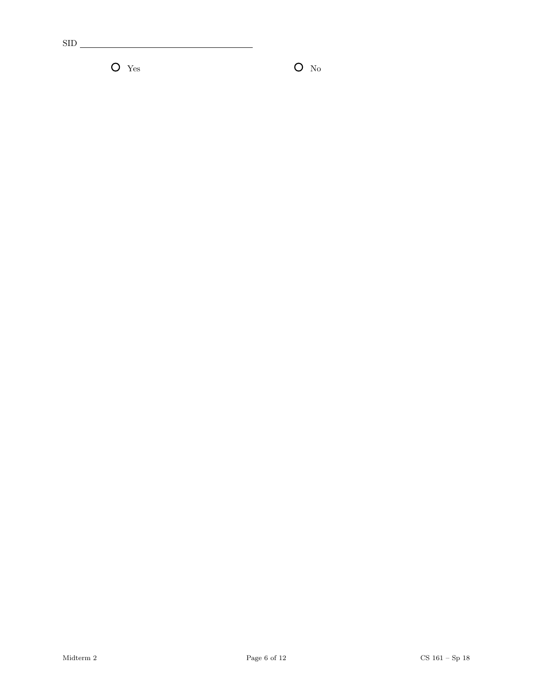$\sup$ <sub>\_\_\_</sub>

 $\bullet$  Yes  $\bullet$  No  $\bullet$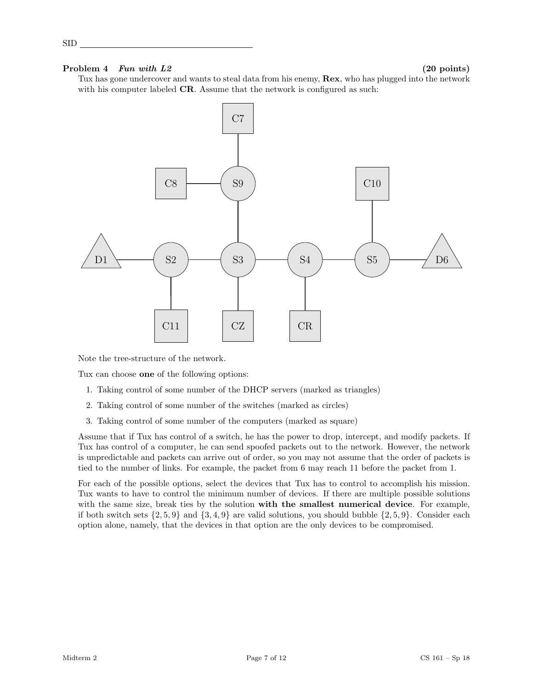# Problem  $4$  Fun with  $L2$  (20 points)

SID

Tux has gone undercover and wants to steal data from his enemy,  $\textbf{Rex}$ , who has plugged into the network with his computer labeled **CR**. Assume that the network is configured as such:



Note the tree-structure of the network.

Tux can choose one of the following options:

- 1. Taking control of some number of the DHCP servers (marked as triangles)
- 2. Taking control of some number of the switches (marked as circles)
- 3. Taking control of some number of the computers (marked as square)

Assume that if Tux has control of a switch, he has the power to drop, intercept, and modify packets. If Tux has control of a computer, he can send spoofed packets out to the network. However, the network is unpredictable and packets can arrive out of order, so you may not assume that the order of packets is tied to the number of links. For example, the packet from 6 may reach 11 before the packet from 1.

For each of the possible options, select the devices that Tux has to control to accomplish his mission. Tux wants to have to control the minimum number of devices. If there are multiple possible solutions with the same size, break ties by the solution with the smallest numerical device. For example, if both switch sets  $\{2, 5, 9\}$  and  $\{3, 4, 9\}$  are valid solutions, you should bubble  $\{2, 5, 9\}$ . Consider each option alone, namely, that the devices in that option are the only devices to be compromised.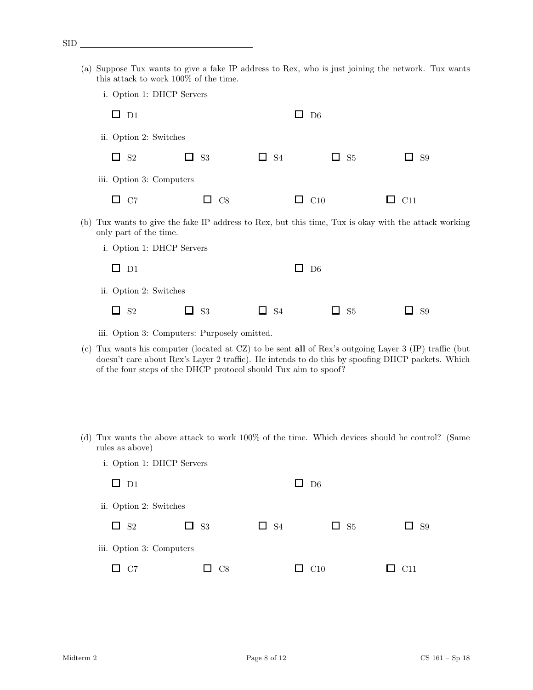- (a) Suppose Tux wants to give a fake IP address to Rex, who is just joining the network. Tux wants this attack to work 100% of the time.
	- i. Option 1: DHCP Servers

| $\Box$ D1                |           | D <sub>6</sub><br>ப |                        |                                |
|--------------------------|-----------|---------------------|------------------------|--------------------------------|
| ii. Option 2: Switches   |           |                     |                        |                                |
| $\Box$ S <sub>2</sub>    | $\Box$ S3 | $\Box$ S4           | $\Box$ S5              | S <sub>9</sub><br>$\mathbf{I}$ |
| iii. Option 3: Computers |           |                     |                        |                                |
| $\Box$ C7                | $\Box$ C8 |                     | $\Box$ C <sub>10</sub> | $\Box$ C11                     |
|                          |           |                     |                        |                                |

(b) Tux wants to give the fake IP address to Rex, but this time, Tux is okay with the attack working only part of the time.

| i. Option 1: DHCP Servers |           |           |                       |                  |
|---------------------------|-----------|-----------|-----------------------|------------------|
| $\Box$ D1                 |           |           | $\Box$ D <sub>6</sub> |                  |
| ii. Option 2: Switches    |           |           |                       |                  |
| $\Box$ S <sub>2</sub>     | $\Box$ S3 | $\Box$ S4 | $\Box$ S5             | <b>S9</b><br>l 1 |

iii. Option 3: Computers: Purposely omitted.

- (c) Tux wants his computer (located at CZ) to be sent all of Rex's outgoing Layer 3 (IP) traffic (but doesn't care about Rex's Layer 2 traffic). He intends to do this by spoofing DHCP packets. Which of the four steps of the DHCP protocol should Tux aim to spoof?
- (d) Tux wants the above attack to work 100% of the time. Which devices should he control? (Same rules as above)
	- i. Option 1: DHCP Servers

| $\Box$ D1                |           | $\Box$ D <sub>6</sub> |                       |           |
|--------------------------|-----------|-----------------------|-----------------------|-----------|
| ii. Option 2: Switches   |           |                       |                       |           |
| $\square$ S <sub>2</sub> | $\Box$ S3 | $\Box$ S4             | $\Box$ S <sub>5</sub> | $\Box$ S9 |
| iii. Option 3: Computers |           |                       |                       |           |
| C7                       | C8        | l I                   | C10                   | C11       |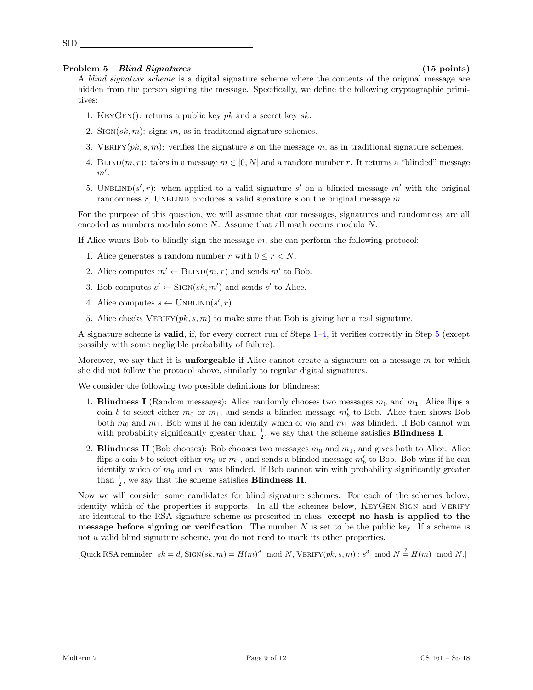## Problem 5 Blind Signatures (15 points)

SID

A *blind signature scheme* is a digital signature scheme where the contents of the original message are hidden from the person signing the message. Specifically, we define the following cryptographic primitives:

- 1. KEYGEN(): returns a public key  $pk$  and a secret key  $sk$ .
- 2. SIGN $(sk, m)$ : signs m, as in traditional signature schemes.
- 3. VERIFY $(pk, s, m)$ : verifies the signature s on the message m, as in traditional signature schemes.
- 4. BLIND(m, r): takes in a message  $m \in [0, N]$  and a random number r. It returns a "blinded" message  $m'.$
- 5. UNBLIND(s', r): when applied to a valid signature s' on a blinded message m' with the original randomness r, UNBLIND produces a valid signature s on the original message  $m$ .

For the purpose of this question, we will assume that our messages, signatures and randomness are all encoded as numbers modulo some  $N$ . Assume that all math occurs modulo  $N$ .

<span id="page-8-0"></span>If Alice wants Bob to blindly sign the message  $m$ , she can perform the following protocol:

- 1. Alice generates a random number r with  $0 \leq r < N$ .
- 2. Alice computes  $m' \leftarrow \text{BLIND}(m, r)$  and sends m' to Bob.
- 3. Bob computes  $s' \leftarrow \text{Sign}(sk, m')$  and sends s' to Alice.
- <span id="page-8-1"></span>4. Alice computes  $s \leftarrow \text{UNBLIND}(s', r)$ .
- <span id="page-8-2"></span>5. Alice checks VERIFY( $pk, s, m$ ) to make sure that Bob is giving her a real signature.

A signature scheme is valid, if, for every correct run of Steps [1](#page-8-0)[–4,](#page-8-1) it verifies correctly in Step [5](#page-8-2) (except possibly with some negligible probability of failure).

Moreover, we say that it is **unforgeable** if Alice cannot create a signature on a message  $m$  for which she did not follow the protocol above, similarly to regular digital signatures.

We consider the following two possible definitions for blindness:

- 1. Blindness I (Random messages): Alice randomly chooses two messages  $m_0$  and  $m_1$ . Alice flips a coin b to select either  $m_0$  or  $m_1$ , and sends a blinded message  $m'_b$  to Bob. Alice then shows Bob both  $m_0$  and  $m_1$ . Bob wins if he can identify which of  $m_0$  and  $m_1$  was blinded. If Bob cannot win with probability significantly greater than  $\frac{1}{2}$ , we say that the scheme satisfies **Blindness I**.
- 2. **Blindness II** (Bob chooses): Bob chooses two messages  $m_0$  and  $m_1$ , and gives both to Alice. Alice flips a coin b to select either  $m_0$  or  $m_1$ , and sends a blinded message  $m'_b$  to Bob. Bob wins if he can identify which of  $m_0$  and  $m_1$  was blinded. If Bob cannot win with probability significantly greater than  $\frac{1}{2}$ , we say that the scheme satisfies **Blindness II**.

Now we will consider some candidates for blind signature schemes. For each of the schemes below, identify which of the properties it supports. In all the schemes below, KEYGEN, SIGN and VERIFY are identical to the RSA signature scheme as presented in class, except no hash is applied to the **message before signing or verification**. The number  $N$  is set to be the public key. If a scheme is not a valid blind signature scheme, you do not need to mark its other properties.

[Quick RSA reminder:  $sk = d$ , SIGN $(sk, m) = H(m)^d \mod N$ , VERIFY $(pk, s, m) : s^3 \mod N \stackrel{?}{=} H(m) \mod N$ .]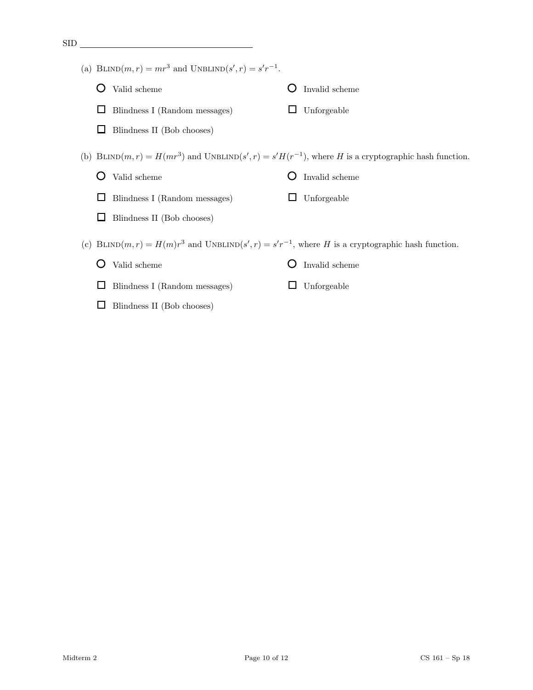| <b>SID</b> |                                                             |                                                                                                            |
|------------|-------------------------------------------------------------|------------------------------------------------------------------------------------------------------------|
|            | (a) BLIND $(m,r) = mr^3$ and UNBLIND $(s', r) = s'r^{-1}$ . |                                                                                                            |
|            | Valid scheme                                                | Invalid scheme                                                                                             |
|            | Blindness I (Random messages)                               | Unforgeable                                                                                                |
|            | Blindness II (Bob chooses)                                  |                                                                                                            |
|            |                                                             | (b) BLIND $(m,r) = H(mr^3)$ and UNBLIND $(s',r) = s'H(r^{-1})$ , where H is a cryptographic hash function. |
|            | Valid scheme                                                | Invalid scheme                                                                                             |
|            | Blindness I (Random messages)                               | Unforgeable                                                                                                |
|            | Blindness II (Bob chooses)                                  |                                                                                                            |
|            | (c)                                                         | BLIND $(m,r) = H(m)r^3$ and UNBLIND $(s',r) = s'r^{-1}$ , where H is a cryptographic hash function.        |
|            | Valid scheme                                                | Invalid scheme                                                                                             |
|            | Blindness I (Random messages)                               | Unforgeable                                                                                                |
|            | Blindness II (Bob chooses)                                  |                                                                                                            |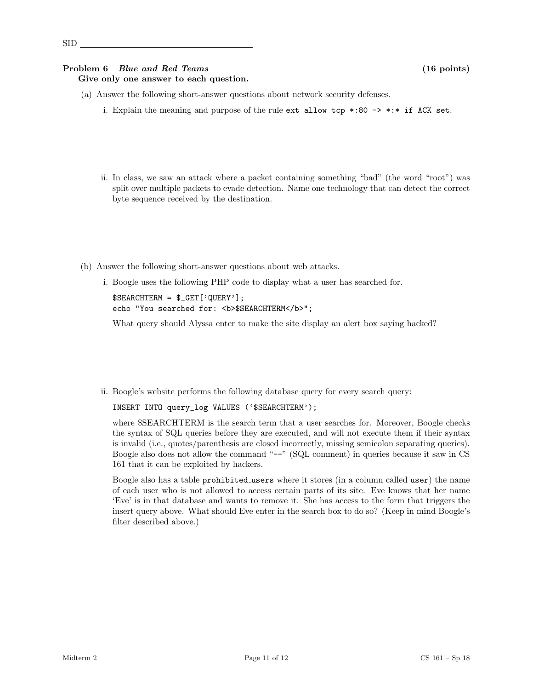### Problem 6 Blue and Red Teams (16 points) Give only one answer to each question.

- (a) Answer the following short-answer questions about network security defenses.
	- i. Explain the meaning and purpose of the rule ext allow tcp  $*:80 \rightarrow *** \text{ if } ACK \text{ set.}$
	- ii. In class, we saw an attack where a packet containing something "bad" (the word "root") was split over multiple packets to evade detection. Name one technology that can detect the correct byte sequence received by the destination.
- (b) Answer the following short-answer questions about web attacks.
	- i. Boogle uses the following PHP code to display what a user has searched for.

```
$SEARCHTERM = $_GET['QUERY'];
echo "You searched for: <b>$SEARCHTERM</b>";
```
What query should Alyssa enter to make the site display an alert box saying hacked?

ii. Boogle's website performs the following database query for every search query:

INSERT INTO query\_log VALUES ('\$SEARCHTERM');

where \$SEARCHTERM is the search term that a user searches for. Moreover, Boogle checks the syntax of SQL queries before they are executed, and will not execute them if their syntax is invalid (i.e., quotes/parenthesis are closed incorrectly, missing semicolon separating queries). Boogle also does not allow the command "--" (SQL comment) in queries because it saw in CS 161 that it can be exploited by hackers.

Boogle also has a table prohibited users where it stores (in a column called user) the name of each user who is not allowed to access certain parts of its site. Eve knows that her name 'Eve' is in that database and wants to remove it. She has access to the form that triggers the insert query above. What should Eve enter in the search box to do so? (Keep in mind Boogle's filter described above.)